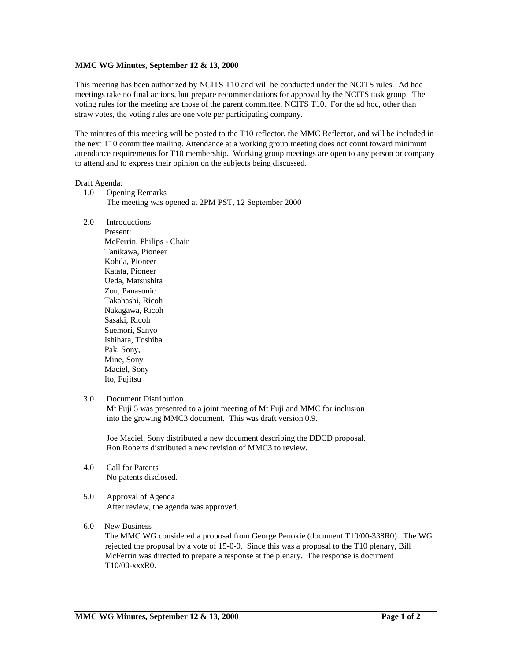## **MMC WG Minutes, September 12 & 13, 2000**

This meeting has been authorized by NCITS T10 and will be conducted under the NCITS rules. Ad hoc meetings take no final actions, but prepare recommendations for approval by the NCITS task group. The voting rules for the meeting are those of the parent committee, NCITS T10. For the ad hoc, other than straw votes, the voting rules are one vote per participating company.

The minutes of this meeting will be posted to the T10 reflector, the MMC Reflector, and will be included in the next T10 committee mailing. Attendance at a working group meeting does not count toward minimum attendance requirements for T10 membership. Working group meetings are open to any person or company to attend and to express their opinion on the subjects being discussed.

#### Draft Agenda:

- 1.0 Opening Remarks The meeting was opened at 2PM PST, 12 September 2000
- 2.0 Introductions

 Present: McFerrin, Philips - Chair Tanikawa, Pioneer Kohda, Pioneer Katata, Pioneer Ueda, Matsushita Zou, Panasonic Takahashi, Ricoh Nakagawa, Ricoh Sasaki, Ricoh Suemori, Sanyo Ishihara, Toshiba Pak, Sony, Mine, Sony Maciel, Sony Ito, Fujitsu

#### 3.0 Document Distribution

 Mt Fuji 5 was presented to a joint meeting of Mt Fuji and MMC for inclusion into the growing MMC3 document. This was draft version 0.9.

 Joe Maciel, Sony distributed a new document describing the DDCD proposal. Ron Roberts distributed a new revision of MMC3 to review.

- 4.0 Call for Patents No patents disclosed.
- 5.0 Approval of Agenda After review, the agenda was approved.

#### 6.0 New Business

The MMC WG considered a proposal from George Penokie (document T10/00-338R0). The WG rejected the proposal by a vote of 15-0-0. Since this was a proposal to the T10 plenary, Bill McFerrin was directed to prepare a response at the plenary. The response is document T10/00-xxxR0.